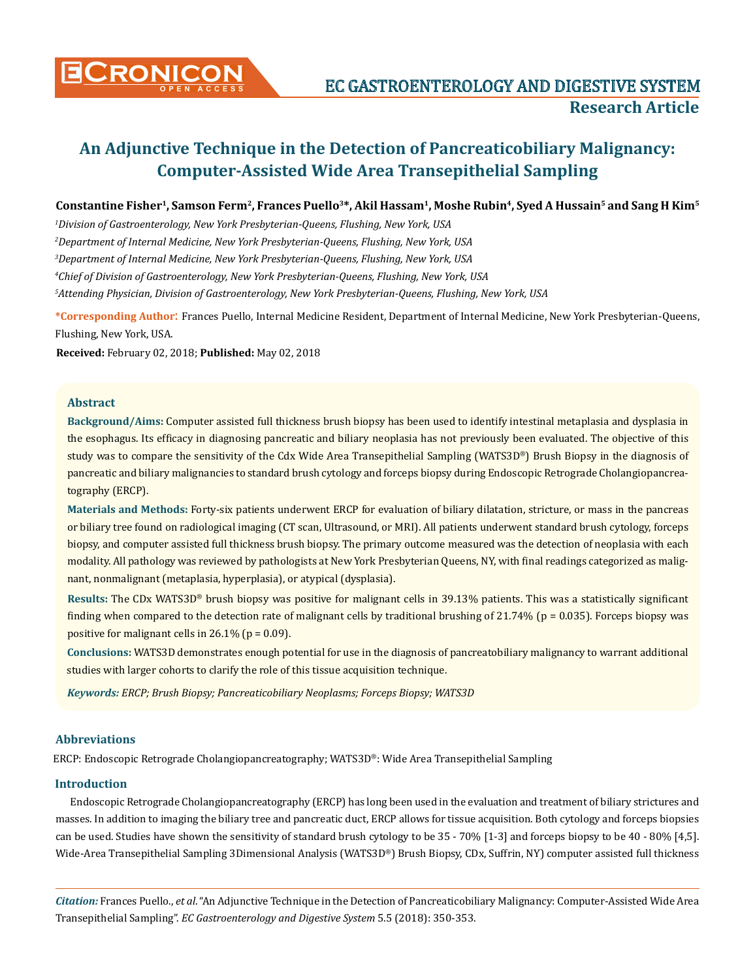

# **An Adjunctive Technique in the Detection of Pancreaticobiliary Malignancy: Computer-Assisted Wide Area Transepithelial Sampling**

## Constantine Fisher<sup>1</sup>, Samson Ferm<sup>2</sup>, Frances Puello<sup>3\*</sup>, Akil Hassam<sup>1</sup>, Moshe Rubin<sup>4</sup>, Syed A Hussain<sup>5</sup> and Sang H Kim<sup>5</sup>

*1 Division of Gastroenterology, New York Presbyterian-Queens, Flushing, New York, USA*

*2 Department of Internal Medicine, New York Presbyterian-Queens, Flushing, New York, USA*

*3 Department of Internal Medicine, New York Presbyterian-Queens, Flushing, New York, USA*

*4 Chief of Division of Gastroenterology, New York Presbyterian-Queens, Flushing, New York, USA*

*5 Attending Physician, Division of Gastroenterology, New York Presbyterian-Queens, Flushing, New York, USA*

**\*Corresponding Author**: Frances Puello, Internal Medicine Resident, Department of Internal Medicine, New York Presbyterian-Queens, Flushing, New York, USA.

**Received:** February 02, 2018; **Published:** May 02, 2018

## **Abstract**

**Background/Aims:** Computer assisted full thickness brush biopsy has been used to identify intestinal metaplasia and dysplasia in the esophagus. Its efficacy in diagnosing pancreatic and biliary neoplasia has not previously been evaluated. The objective of this study was to compare the sensitivity of the Cdx Wide Area Transepithelial Sampling (WATS3D®) Brush Biopsy in the diagnosis of pancreatic and biliary malignancies to standard brush cytology and forceps biopsy during Endoscopic Retrograde Cholangiopancreatography (ERCP).

**Materials and Methods:** Forty-six patients underwent ERCP for evaluation of biliary dilatation, stricture, or mass in the pancreas or biliary tree found on radiological imaging (CT scan, Ultrasound, or MRI). All patients underwent standard brush cytology, forceps biopsy, and computer assisted full thickness brush biopsy. The primary outcome measured was the detection of neoplasia with each modality. All pathology was reviewed by pathologists at New York Presbyterian Queens, NY, with final readings categorized as malignant, nonmalignant (metaplasia, hyperplasia), or atypical (dysplasia).

**Results:** The CDx WATS3D® brush biopsy was positive for malignant cells in 39.13% patients. This was a statistically significant finding when compared to the detection rate of malignant cells by traditional brushing of  $21.74\%$  (p = 0.035). Forceps biopsy was positive for malignant cells in  $26.1\%$  (p = 0.09).

**Conclusions:** WATS3D demonstrates enough potential for use in the diagnosis of pancreatobiliary malignancy to warrant additional studies with larger cohorts to clarify the role of this tissue acquisition technique.

*Keywords: ERCP; Brush Biopsy; Pancreaticobiliary Neoplasms; Forceps Biopsy; WATS3D*

## **Abbreviations**

ERCP: Endoscopic Retrograde Cholangiopancreatography; WATS3D®: Wide Area Transepithelial Sampling

## **Introduction**

Endoscopic Retrograde Cholangiopancreatography (ERCP) has long been used in the evaluation and treatment of biliary strictures and masses. In addition to imaging the biliary tree and pancreatic duct, ERCP allows for tissue acquisition. Both cytology and forceps biopsies can be used. Studies have shown the sensitivity of standard brush cytology to be 35 - 70% [1-3] and forceps biopsy to be 40 - 80% [4,5]. Wide-Area Transepithelial Sampling 3Dimensional Analysis (WATS3D®) Brush Biopsy, CDx, Suffrin, NY) computer assisted full thickness

*Citation:* Frances Puello., *et al*. "An Adjunctive Technique in the Detection of Pancreaticobiliary Malignancy: Computer-Assisted Wide Area Transepithelial Sampling". *EC Gastroenterology and Digestive System* 5.5 (2018): 350-353.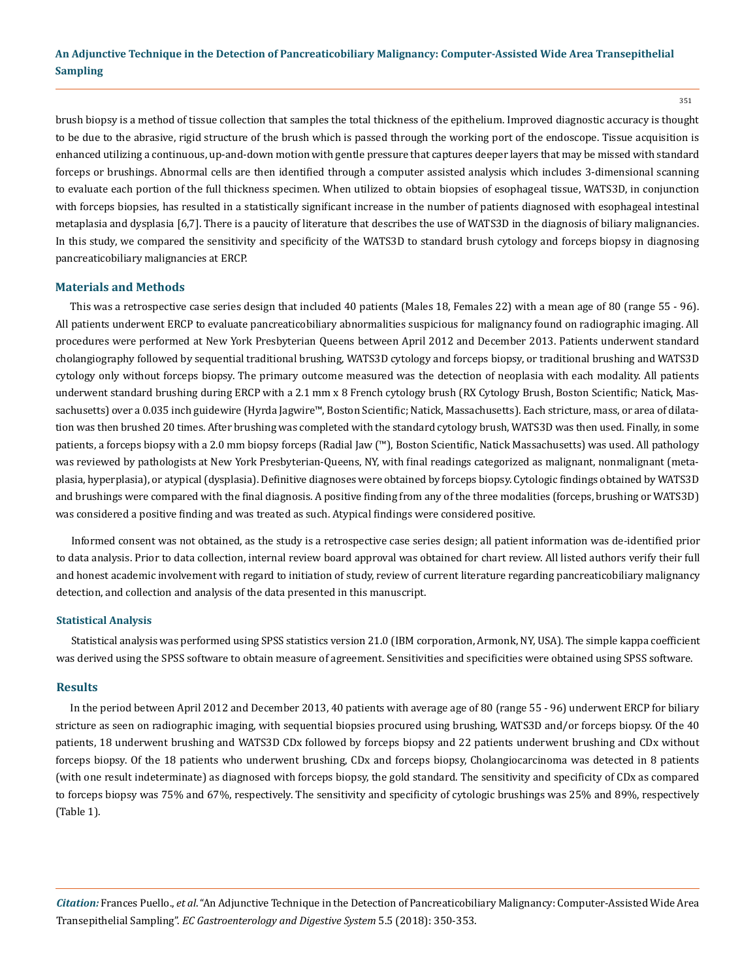brush biopsy is a method of tissue collection that samples the total thickness of the epithelium. Improved diagnostic accuracy is thought to be due to the abrasive, rigid structure of the brush which is passed through the working port of the endoscope. Tissue acquisition is enhanced utilizing a continuous, up-and-down motion with gentle pressure that captures deeper layers that may be missed with standard forceps or brushings. Abnormal cells are then identified through a computer assisted analysis which includes 3-dimensional scanning to evaluate each portion of the full thickness specimen. When utilized to obtain biopsies of esophageal tissue, WATS3D, in conjunction with forceps biopsies, has resulted in a statistically significant increase in the number of patients diagnosed with esophageal intestinal metaplasia and dysplasia [6,7]. There is a paucity of literature that describes the use of WATS3D in the diagnosis of biliary malignancies. In this study, we compared the sensitivity and specificity of the WATS3D to standard brush cytology and forceps biopsy in diagnosing pancreaticobiliary malignancies at ERCP.

### **Materials and Methods**

This was a retrospective case series design that included 40 patients (Males 18, Females 22) with a mean age of 80 (range 55 - 96). All patients underwent ERCP to evaluate pancreaticobiliary abnormalities suspicious for malignancy found on radiographic imaging. All procedures were performed at New York Presbyterian Queens between April 2012 and December 2013. Patients underwent standard cholangiography followed by sequential traditional brushing, WATS3D cytology and forceps biopsy, or traditional brushing and WATS3D cytology only without forceps biopsy. The primary outcome measured was the detection of neoplasia with each modality. All patients underwent standard brushing during ERCP with a 2.1 mm x 8 French cytology brush (RX Cytology Brush, Boston Scientific; Natick, Massachusetts) over a 0.035 inch guidewire (Hyrda Jagwire™, Boston Scientific; Natick, Massachusetts). Each stricture, mass, or area of dilatation was then brushed 20 times. After brushing was completed with the standard cytology brush, WATS3D was then used. Finally, in some patients, a forceps biopsy with a 2.0 mm biopsy forceps (Radial Jaw (™), Boston Scientific, Natick Massachusetts) was used. All pathology was reviewed by pathologists at New York Presbyterian-Queens, NY, with final readings categorized as malignant, nonmalignant (metaplasia, hyperplasia), or atypical (dysplasia). Definitive diagnoses were obtained by forceps biopsy. Cytologic findings obtained by WATS3D and brushings were compared with the final diagnosis. A positive finding from any of the three modalities (forceps, brushing or WATS3D) was considered a positive finding and was treated as such. Atypical findings were considered positive.

Informed consent was not obtained, as the study is a retrospective case series design; all patient information was de-identified prior to data analysis. Prior to data collection, internal review board approval was obtained for chart review. All listed authors verify their full and honest academic involvement with regard to initiation of study, review of current literature regarding pancreaticobiliary malignancy detection, and collection and analysis of the data presented in this manuscript.

## **Statistical Analysis**

Statistical analysis was performed using SPSS statistics version 21.0 (IBM corporation, Armonk, NY, USA). The simple kappa coefficient was derived using the SPSS software to obtain measure of agreement. Sensitivities and specificities were obtained using SPSS software.

#### **Results**

In the period between April 2012 and December 2013, 40 patients with average age of 80 (range 55 - 96) underwent ERCP for biliary stricture as seen on radiographic imaging, with sequential biopsies procured using brushing, WATS3D and/or forceps biopsy. Of the 40 patients, 18 underwent brushing and WATS3D CDx followed by forceps biopsy and 22 patients underwent brushing and CDx without forceps biopsy. Of the 18 patients who underwent brushing, CDx and forceps biopsy, Cholangiocarcinoma was detected in 8 patients (with one result indeterminate) as diagnosed with forceps biopsy, the gold standard. The sensitivity and specificity of CDx as compared to forceps biopsy was 75% and 67%, respectively. The sensitivity and specificity of cytologic brushings was 25% and 89%, respectively (Table 1).

*Citation:* Frances Puello., *et al*. "An Adjunctive Technique in the Detection of Pancreaticobiliary Malignancy: Computer-Assisted Wide Area Transepithelial Sampling". *EC Gastroenterology and Digestive System* 5.5 (2018): 350-353.

351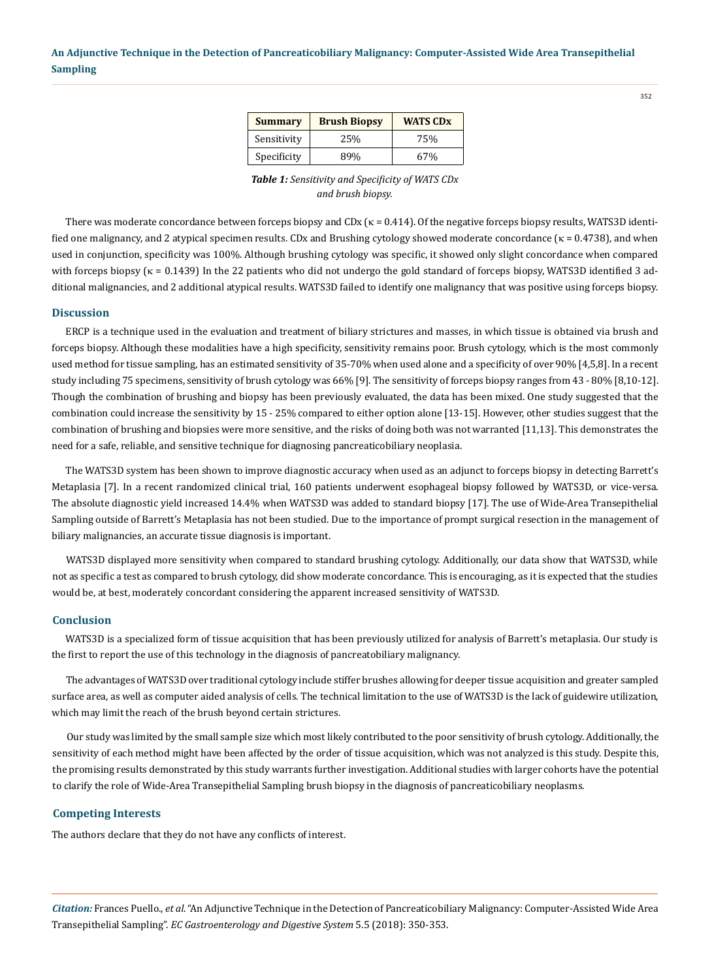| <b>Summary</b> | <b>Brush Biopsy</b> | <b>WATS CDx</b> |
|----------------|---------------------|-----------------|
| Sensitivity    | 25%                 | 75%             |
| Specificity    | 89%                 | 67%             |

*Table 1: Sensitivity and Specificity of WATS CDx and brush biopsy.* 

There was moderate concordance between forceps biopsy and CDx  $(k = 0.414)$ . Of the negative forceps biopsy results, WATS3D identified one malignancy, and 2 atypical specimen results. CDx and Brushing cytology showed moderate concordance ( $\kappa = 0.4738$ ), and when used in conjunction, specificity was 100%. Although brushing cytology was specific, it showed only slight concordance when compared with forceps biopsy  $(k = 0.1439)$  In the 22 patients who did not undergo the gold standard of forceps biopsy, WATS3D identified 3 additional malignancies, and 2 additional atypical results. WATS3D failed to identify one malignancy that was positive using forceps biopsy.

## **Discussion**

ERCP is a technique used in the evaluation and treatment of biliary strictures and masses, in which tissue is obtained via brush and forceps biopsy. Although these modalities have a high specificity, sensitivity remains poor. Brush cytology, which is the most commonly used method for tissue sampling, has an estimated sensitivity of 35-70% when used alone and a specificity of over 90% [4,5,8]. In a recent study including 75 specimens, sensitivity of brush cytology was 66% [9]. The sensitivity of forceps biopsy ranges from 43 - 80% [8,10-12]. Though the combination of brushing and biopsy has been previously evaluated, the data has been mixed. One study suggested that the combination could increase the sensitivity by 15 - 25% compared to either option alone [13-15]. However, other studies suggest that the combination of brushing and biopsies were more sensitive, and the risks of doing both was not warranted [11,13]. This demonstrates the need for a safe, reliable, and sensitive technique for diagnosing pancreaticobiliary neoplasia.

The WATS3D system has been shown to improve diagnostic accuracy when used as an adjunct to forceps biopsy in detecting Barrett's Metaplasia [7]. In a recent randomized clinical trial, 160 patients underwent esophageal biopsy followed by WATS3D, or vice-versa. The absolute diagnostic yield increased 14.4% when WATS3D was added to standard biopsy [17]. The use of Wide-Area Transepithelial Sampling outside of Barrett's Metaplasia has not been studied. Due to the importance of prompt surgical resection in the management of biliary malignancies, an accurate tissue diagnosis is important.

WATS3D displayed more sensitivity when compared to standard brushing cytology. Additionally, our data show that WATS3D, while not as specific a test as compared to brush cytology, did show moderate concordance. This is encouraging, as it is expected that the studies would be, at best, moderately concordant considering the apparent increased sensitivity of WATS3D.

## **Conclusion**

WATS3D is a specialized form of tissue acquisition that has been previously utilized for analysis of Barrett's metaplasia. Our study is the first to report the use of this technology in the diagnosis of pancreatobiliary malignancy.

The advantages of WATS3D over traditional cytology include stiffer brushes allowing for deeper tissue acquisition and greater sampled surface area, as well as computer aided analysis of cells. The technical limitation to the use of WATS3D is the lack of guidewire utilization, which may limit the reach of the brush beyond certain strictures.

Our study was limited by the small sample size which most likely contributed to the poor sensitivity of brush cytology. Additionally, the sensitivity of each method might have been affected by the order of tissue acquisition, which was not analyzed is this study. Despite this, the promising results demonstrated by this study warrants further investigation. Additional studies with larger cohorts have the potential to clarify the role of Wide-Area Transepithelial Sampling brush biopsy in the diagnosis of pancreaticobiliary neoplasms.

## **Competing Interests**

The authors declare that they do not have any conflicts of interest.

*Citation:* Frances Puello., *et al*. "An Adjunctive Technique in the Detection of Pancreaticobiliary Malignancy: Computer-Assisted Wide Area Transepithelial Sampling". *EC Gastroenterology and Digestive System* 5.5 (2018): 350-353.

352